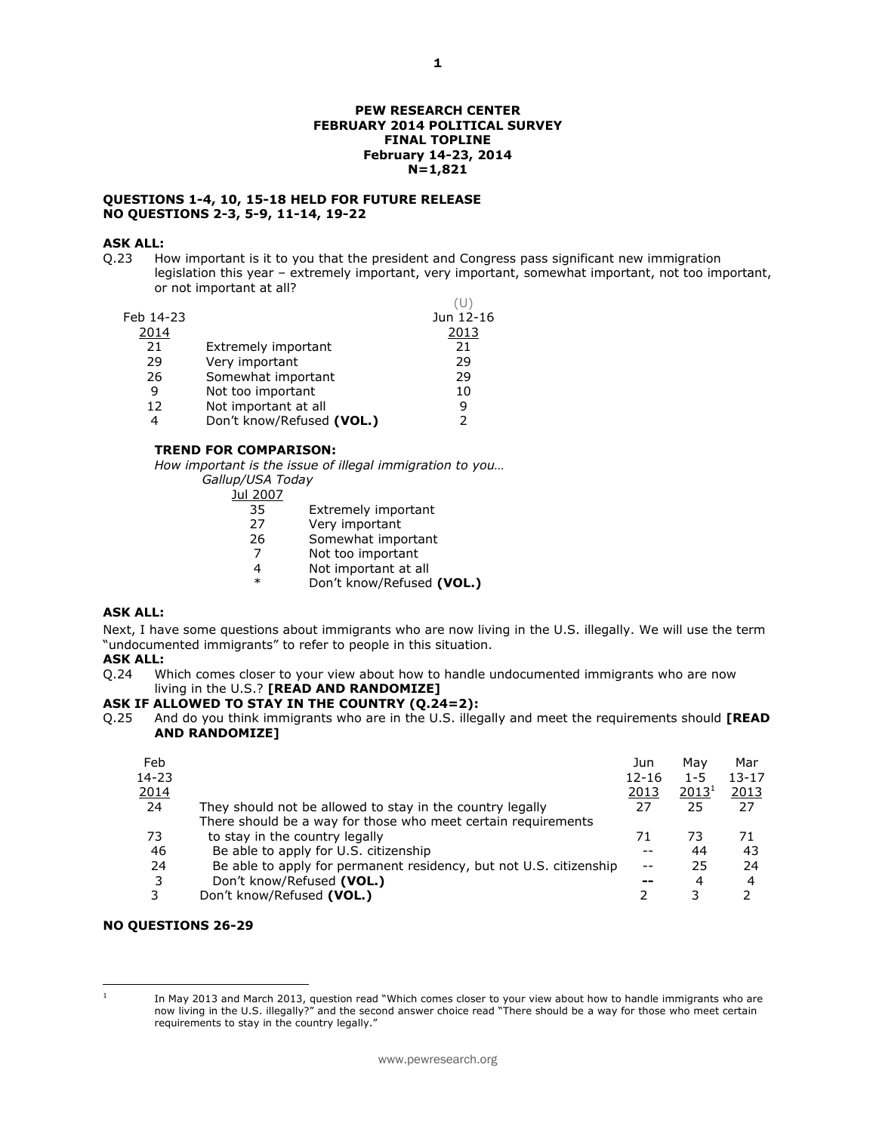### **QUESTIONS 1-4, 10, 15-18 HELD FOR FUTURE RELEASE NO QUESTIONS 2-3, 5-9, 11-14, 19-22**

# **ASK ALL:**<br>0.23 Ho

How important is it to you that the president and Congress pass significant new immigration legislation this year – extremely important, very important, somewhat important, not too important, or not important at all?  $(1)$ 

| Feb 14-23 |                           | Jun 12-16 |
|-----------|---------------------------|-----------|
| 2014      |                           | 2013      |
| 21        | Extremely important       | 21        |
| 29        | Very important            | 29        |
| 26        | Somewhat important        | 29        |
| 9         | Not too important         | 10        |
| 12        | Not important at all      | 9         |
| 4         | Don't know/Refused (VOL.) | っ         |
|           |                           |           |

## **TREND FOR COMPARISON:**

*How important is the issue of illegal immigration to you… Gallup/USA Today*

<u>Jul 2007</u><br>35

- 35 Extremely important<br>27 Verv important
- Very important
- 26 Somewhat important
- 7 Not too important
- 4 Not important at all<br>  $*$  Dep't know (Pofused
- Don't know/Refused **(VOL.)**

# **ASK ALL:**

Next, I have some questions about immigrants who are now living in the U.S. illegally. We will use the term "undocumented immigrants" to refer to people in this situation.

### **ASK ALL:**

Q.24 Which comes closer to your view about how to handle undocumented immigrants who are now living in the U.S.? **[READ AND RANDOMIZE]** 

## **ASK IF ALLOWED TO STAY IN THE COUNTRY (Q.24=2):**

Q.25 And do you think immigrants who are in the U.S. illegally and meet the requirements should **[READ AND RANDOMIZE]** 

| Feb          |                                                                    | Jun       | Mav               | Mar       |
|--------------|--------------------------------------------------------------------|-----------|-------------------|-----------|
| 14-23        |                                                                    | $12 - 16$ | $1 - 5$           | $13 - 17$ |
| <u> 2014</u> |                                                                    | 2013      | 2013 <sup>1</sup> | 2013      |
| 24           | They should not be allowed to stay in the country legally          | 27        | 25                | 27        |
|              | There should be a way for those who meet certain requirements      |           |                   |           |
| 73           | to stay in the country legally                                     | 71        | 73                | 71        |
| 46           | Be able to apply for U.S. citizenship                              |           | 44                | 43        |
| 24           | Be able to apply for permanent residency, but not U.S. citizenship |           | 25                | 24        |
| 3            | Don't know/Refused (VOL.)                                          | --        | 4                 | 4         |
| 3            | Don't know/Refused (VOL.)                                          |           |                   |           |
|              |                                                                    |           |                   |           |

### **NO QUESTIONS 26-29**

 $\frac{1}{1}$ 

In May 2013 and March 2013, question read "Which comes closer to your view about how to handle immigrants who are now living in the U.S. illegally?" and the second answer choice read "There should be a way for those who meet certain requirements to stay in the country legally."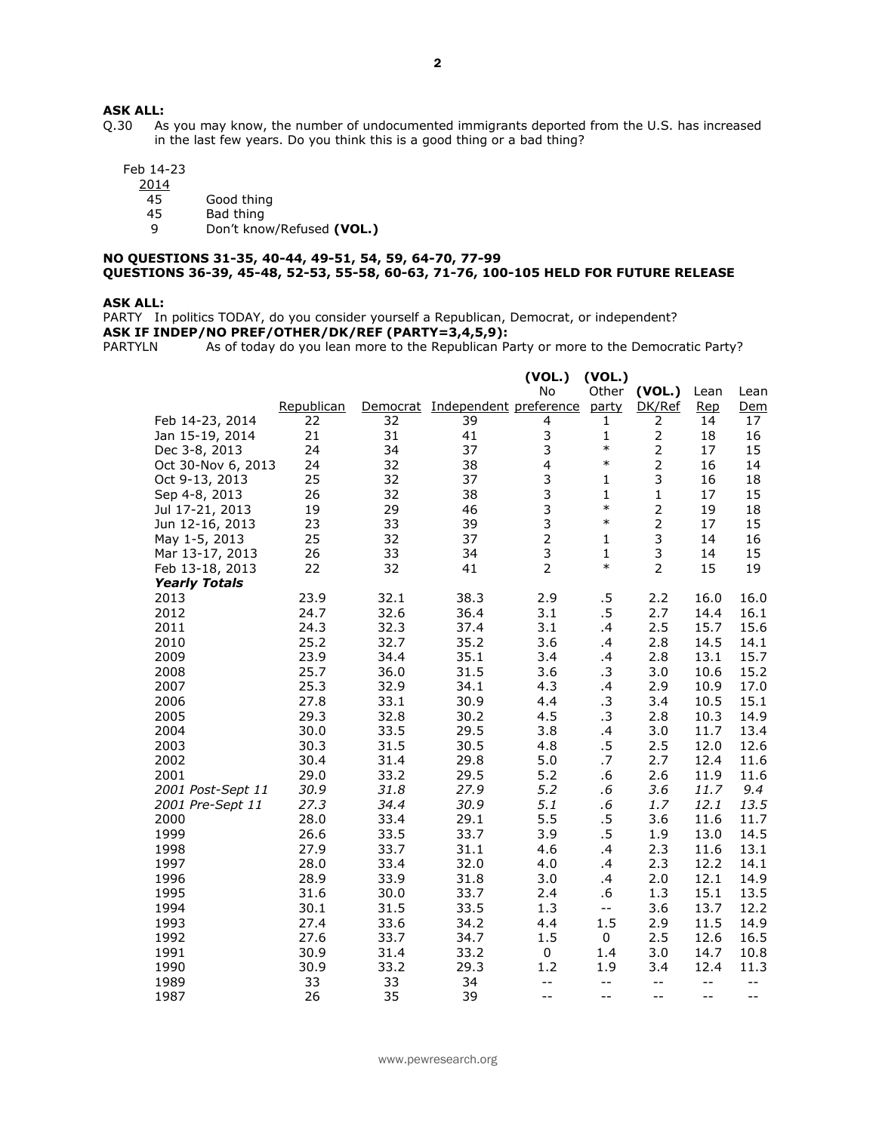# **ASK ALL:**<br>Q.30 As

As you may know, the number of undocumented immigrants deported from the U.S. has increased in the last few years. Do you think this is a good thing or a bad thing?

Feb 14-23

 $\frac{2014}{45}$ 

45 Good thing<br>45 Bad thing

45 Bad thing<br>9 Don't know

9 Don't know/Refused **(VOL.)**

### **NO QUESTIONS 31-35, 40-44, 49-51, 54, 59, 64-70, 77-99 QUESTIONS 36-39, 45-48, 52-53, 55-58, 60-63, 71-76, 100-105 HELD FOR FUTURE RELEASE**

#### **ASK ALL:**

PARTY In politics TODAY, do you consider yourself a Republican, Democrat, or independent? **ASK IF INDEP/NO PREF/OTHER/DK/REF (PARTY=3,4,5,9):**

PARTYLN As of today do you lean more to the Republican Party or more to the Democratic Party?

|                      |            |          |                              | (VOL.)         | (VOL.)                     |                                               |            |            |
|----------------------|------------|----------|------------------------------|----------------|----------------------------|-----------------------------------------------|------------|------------|
|                      |            |          |                              | <b>No</b>      | Other                      | (VOL.)                                        | Lean       | Lean       |
|                      | Republican | Democrat | Independent preference party |                |                            | DK/Ref                                        | <u>Rep</u> | <u>Dem</u> |
| Feb 14-23, 2014      | 22         | 32       | 39                           | 4              | 1                          | 2                                             | 14         | 17         |
| Jan 15-19, 2014      | 21         | 31       | 41                           | 3              | 1                          | $\mathbf{2}$                                  | 18         | 16         |
| Dec 3-8, 2013        | 24         | 34       | 37                           | 3              | $\ast$                     | $\overline{2}$                                | 17         | 15         |
| Oct 30-Nov 6, 2013   | 24         | 32       | 38                           | 4              | $\ast$                     | $\overline{2}$                                | 16         | 14         |
| Oct 9-13, 2013       | 25         | 32       | 37                           | 3              | 1                          | 3                                             | 16         | 18         |
| Sep 4-8, 2013        | 26         | 32       | 38                           | 3              | $\mathbf{1}$               | $\mathbf{1}$                                  | 17         | 15         |
| Jul 17-21, 2013      | 19         | 29       | 46                           | 3              | $\ast$                     | $\overline{2}$                                | 19         | 18         |
| Jun 12-16, 2013      | 23         | 33       | 39                           | 3              | $\ast$                     | $\overline{2}$                                | 17         | 15         |
| May 1-5, 2013        | 25         | 32       | 37                           | $\overline{2}$ | $\mathbf{1}$               | 3                                             | 14         | 16         |
| Mar 13-17, 2013      | 26         | 33       | 34                           | 3              | $\mathbf{1}$               | 3                                             | 14         | 15         |
| Feb 13-18, 2013      | 22         | 32       | 41                           | $\overline{2}$ | $\ast$                     | $\overline{2}$                                | 15         | 19         |
| <b>Yearly Totals</b> |            |          |                              |                |                            |                                               |            |            |
| 2013                 | 23.9       | 32.1     | 38.3                         | 2.9            | .5                         | 2.2                                           | 16.0       | 16.0       |
| 2012                 | 24.7       | 32.6     | 36.4                         | 3.1            | $.5\,$                     | 2.7                                           | 14.4       | 16.1       |
| 2011                 | 24.3       | 32.3     | 37.4                         | 3.1            | .4                         | 2.5                                           | 15.7       | 15.6       |
| 2010                 | 25.2       | 32.7     | 35.2                         | 3.6            | .4                         | 2.8                                           | 14.5       | 14.1       |
| 2009                 | 23.9       | 34.4     | 35.1                         | 3.4            | .4                         | 2.8                                           | 13.1       | 15.7       |
| 2008                 | 25.7       | 36.0     | 31.5                         | 3.6            | .3                         | 3.0                                           | 10.6       | 15.2       |
| 2007                 | 25.3       | 32.9     | 34.1                         | 4.3            | .4                         | 2.9                                           | 10.9       | 17.0       |
| 2006                 | 27.8       | 33.1     | 30.9                         | 4.4            | .3                         | 3.4                                           | 10.5       | 15.1       |
| 2005                 | 29.3       | 32.8     | 30.2                         | 4.5            | .3                         | 2.8                                           | 10.3       | 14.9       |
| 2004                 | 30.0       | 33.5     | 29.5                         | 3.8            | .4                         | 3.0                                           | 11.7       | 13.4       |
| 2003                 | 30.3       | 31.5     | 30.5                         | 4.8            | .5                         | 2.5                                           | 12.0       | 12.6       |
| 2002                 | 30.4       | 31.4     | 29.8                         | 5.0            | .7                         | 2.7                                           | 12.4       | 11.6       |
| 2001                 | 29.0       | 33.2     | 29.5                         | 5.2            | .6                         | 2.6                                           | 11.9       | 11.6       |
| 2001 Post-Sept 11    | 30.9       | 31.8     | 27.9                         | 5.2            | $.6\,$                     | 3.6                                           | 11.7       | 9.4        |
| 2001 Pre-Sept 11     | 27.3       | 34.4     | 30.9                         | 5.1            | .6                         | 1.7                                           | 12.1       | 13.5       |
| 2000                 | 28.0       | 33.4     | 29.1                         | 5.5            | $.5\,$                     | 3.6                                           | 11.6       | 11.7       |
| 1999                 | 26.6       | 33.5     | 33.7                         | 3.9            | .5                         | 1.9                                           | 13.0       | 14.5       |
| 1998                 | 27.9       | 33.7     | 31.1                         | 4.6            | .4                         | 2.3                                           | 11.6       | 13.1       |
| 1997                 | 28.0       | 33.4     | 32.0                         | 4.0            | .4                         | 2.3                                           | 12.2       | 14.1       |
| 1996                 | 28.9       | 33.9     | 31.8                         | 3.0            | $\cdot$                    | 2.0                                           | 12.1       | 14.9       |
| 1995                 | 31.6       | 30.0     | 33.7                         | 2.4            | .6                         | 1.3                                           | 15.1       | 13.5       |
| 1994                 | 30.1       | 31.5     | 33.5                         | 1.3            | $\overline{\phantom{m}}$ . | 3.6                                           | 13.7       | 12.2       |
| 1993                 | 27.4       | 33.6     | 34.2                         | 4.4            | 1.5                        | 2.9                                           | 11.5       | 14.9       |
| 1992                 | 27.6       | 33.7     | 34.7                         | 1.5            | $\mathbf 0$                | 2.5                                           | 12.6       | 16.5       |
| 1991                 | 30.9       | 31.4     | 33.2                         | 0              | 1.4                        | 3.0                                           | 14.7       | 10.8       |
| 1990                 | 30.9       | 33.2     | 29.3                         | 1.2            | 1.9                        | 3.4                                           | 12.4       | 11.3       |
| 1989                 | 33         | 33       | 34                           | $-$            | $-$                        | $\mathord{\hspace{1pt}\text{--}\hspace{1pt}}$ | $-$        | $-$        |
| 1987                 | 26         | 35       | 39                           | $-$            | --                         | $- -$                                         | $- -$      | --         |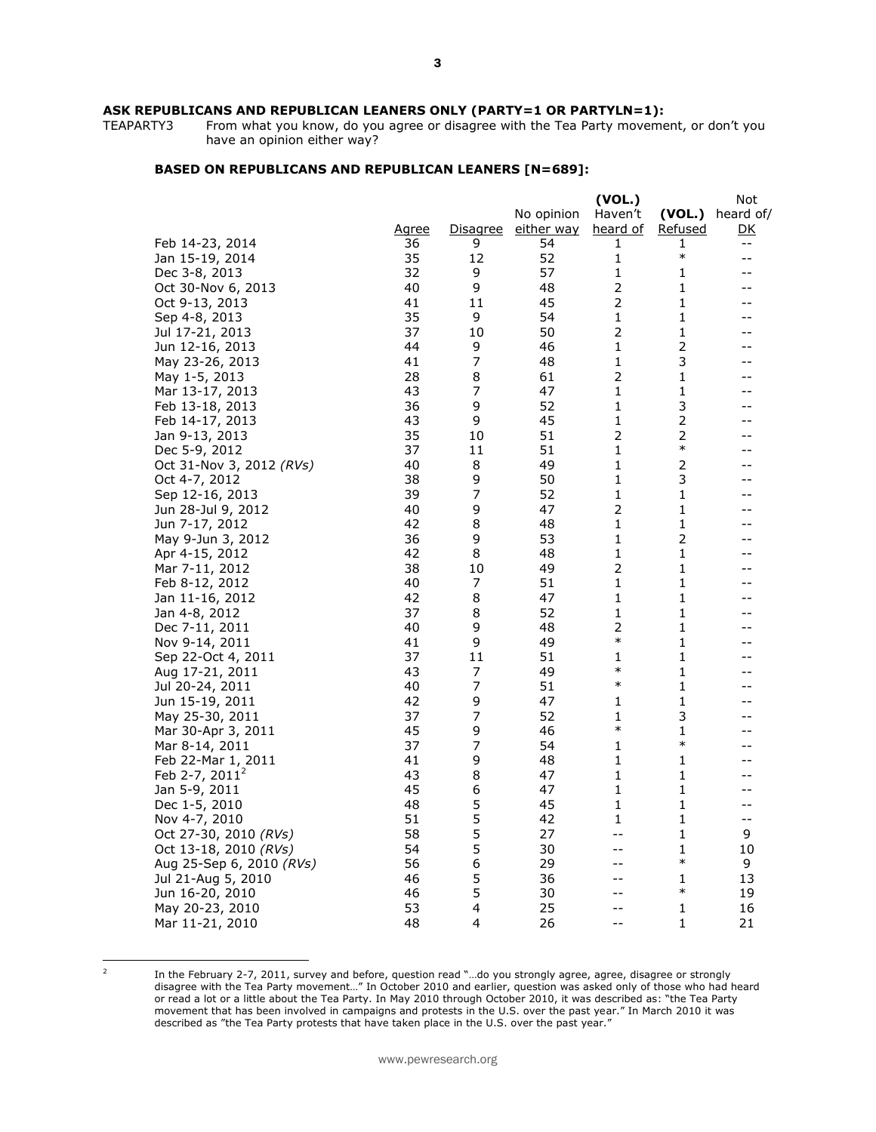# **ASK REPUBLICANS AND REPUBLICAN LEANERS ONLY (PARTY=1 OR PARTYLN=1):**<br>TEAPARTY3 From what you know, do you agree or disagree with the Tea Party movement

From what you know, do you agree or disagree with the Tea Party movement, or don't you have an opinion either way?

### **BASED ON REPUBLICANS AND REPUBLICAN LEANERS [N=689]:**

|                                      |              |                  |            | (VOL.)         |                | Not               |
|--------------------------------------|--------------|------------------|------------|----------------|----------------|-------------------|
|                                      |              |                  | No opinion | Haven't        | (VOL.)         | heard of/         |
|                                      | <u>Agree</u> | <u>Disagree</u>  | either way | heard of       | <u>Refused</u> | <u>DK</u>         |
| Feb 14-23, 2014                      | 36           | 9                | 54         | 1              | 1              | $- -$             |
| Jan 15-19, 2014                      | 35           | 12               | 52         | $\mathbf{1}$   | $\ast$         | $- -$             |
| Dec 3-8, 2013                        | 32           | 9                | 57         | 1              | 1              | --                |
| Oct 30-Nov 6, 2013                   | 40           | 9                | 48         | $\mathbf 2$    | 1              | --                |
| Oct 9-13, 2013                       | 41           | 11               | 45         | $\mathbf 2$    | $\mathbf{1}$   | --                |
| Sep 4-8, 2013                        | 35           | 9                | 54         | $\mathbf 1$    | $\mathbf 1$    |                   |
| Jul 17-21, 2013                      | 37           | 10               | 50         | 2              | 1              |                   |
| Jun 12-16, 2013                      | 44           | 9                | 46         | $\mathbf 1$    | $\overline{2}$ |                   |
| May 23-26, 2013                      | 41           | 7                | 48         | 1              | 3              |                   |
| May 1-5, 2013                        | 28           | 8                | 61         | $\mathbf 2$    | $\mathbf{1}$   |                   |
| Mar 13-17, 2013                      | 43           | $\boldsymbol{7}$ | 47         | $\mathbf{1}$   | $\mathbf 1$    |                   |
| Feb 13-18, 2013                      | 36           | 9                | 52         | 1              | 3              |                   |
| Feb 14-17, 2013                      | 43           | 9                | 45         | 1              | $\mathbf 2$    |                   |
| Jan 9-13, 2013                       | 35           | 10               | 51         | $\mathbf 2$    | $\overline{2}$ |                   |
| Dec 5-9, 2012                        | 37           | 11               | 51         | 1              | $\ast$         |                   |
| Oct 31-Nov 3, 2012 $(RVs)$           | 40           | 8                | 49         | 1              | $\overline{2}$ |                   |
| Oct 4-7, 2012                        | 38           | 9                | 50         | 1              | 3              | --                |
| Sep 12-16, 2013                      | 39           | $\boldsymbol{7}$ | 52         | 1              | 1              |                   |
|                                      | 40           | 9                | 47         | $\overline{2}$ | 1              | --                |
| Jun 28-Jul 9, 2012<br>Jun 7-17, 2012 | 42           | 8                | 48         | 1              | 1              | --                |
| May 9-Jun 3, 2012                    | 36           | 9                | 53         | 1              | 2              | --                |
| Apr 4-15, 2012                       | 42           | 8                | 48         | 1              | 1              | --                |
| Mar 7-11, 2012                       | 38           | 10               | 49         | $\mathbf 2$    | 1              | --                |
| Feb 8-12, 2012                       | 40           | 7                | 51         | 1              | 1              | --                |
|                                      | 42           | 8                | 47         | 1              | 1              | $-$               |
| Jan 11-16, 2012<br>Jan 4-8, 2012     | 37           | 8                | 52         | 1              | 1              | --                |
|                                      | 40           | 9                | 48         | 2              | 1              | --                |
| Dec 7-11, 2011                       | 41           | 9                | 49         | $\ast$         | 1              | $-$               |
| Nov 9-14, 2011<br>Sep 22-Oct 4, 2011 | 37           | 11               | 51         | 1              | 1              | --                |
| Aug 17-21, 2011                      | 43           | 7                | 49         | $\ast$         | 1              | --                |
| Jul 20-24, 2011                      | 40           | 7                | 51         | $\ast$         | 1              | --                |
|                                      | 42           | 9                | 47         | 1              | $\mathbf 1$    | --                |
| Jun 15-19, 2011                      | 37           | 7                | 52         | 1              | 3              | --                |
| May 25-30, 2011                      | 45           | 9                | 46         | $\ast$         | 1              | --                |
| Mar 30-Apr 3, 2011                   |              | $\overline{7}$   | 54         | 1              | $\ast$         | $-$               |
| Mar 8-14, 2011                       | 37           |                  |            |                |                | --                |
| Feb 22-Mar 1, 2011                   | 41           | 9                | 48         | 1              | 1              |                   |
| Feb 2-7, $2011^2$                    | 43           | 8                | 47         | 1              | 1              | --                |
| Jan 5-9, 2011                        | 45           | 6                | 47         | 1              | 1              | $-$               |
| Dec 1-5, 2010                        | 48           | 5                | 45         | 1              | 1              | $-$               |
| Nov 4-7, 2010                        | 51           | 5                | 42         | 1              | 1              | $\qquad \qquad -$ |
| Oct 27-30, 2010 (RVs)                | 58           | 5                | 27         | $-1$           | 1              | 9                 |
| Oct 13-18, 2010 (RVs)                | 54           | 5                | 30         | $-$            | 1<br>$\ast$    | 10                |
| Aug 25-Sep 6, 2010 (RVs)             | 56           | 6                | 29         | --             |                | 9                 |
| Jul 21-Aug 5, 2010                   | 46           | 5                | 36         |                | 1              | 13                |
| Jun 16-20, 2010                      | 46           | 5                | 30         | $-1$           | $\ast$         | 19                |
| May 20-23, 2010                      | 53           | 4                | 25         | $-1$           | 1              | 16                |
| Mar 11-21, 2010                      | 48           | 4                | 26         | $-1$           | $\mathbf{1}$   | 21                |

<sup>&</sup>lt;sup>2</sup>

In the February 2-7, 2011, survey and before, question read "…do you strongly agree, agree, disagree or strongly disagree with the Tea Party movement…" In October 2010 and earlier, question was asked only of those who had heard or read a lot or a little about the Tea Party. In May 2010 through October 2010, it was described as: "the Tea Party movement that has been involved in campaigns and protests in the U.S. over the past year." In March 2010 it was described as "the Tea Party protests that have taken place in the U.S. over the past year."